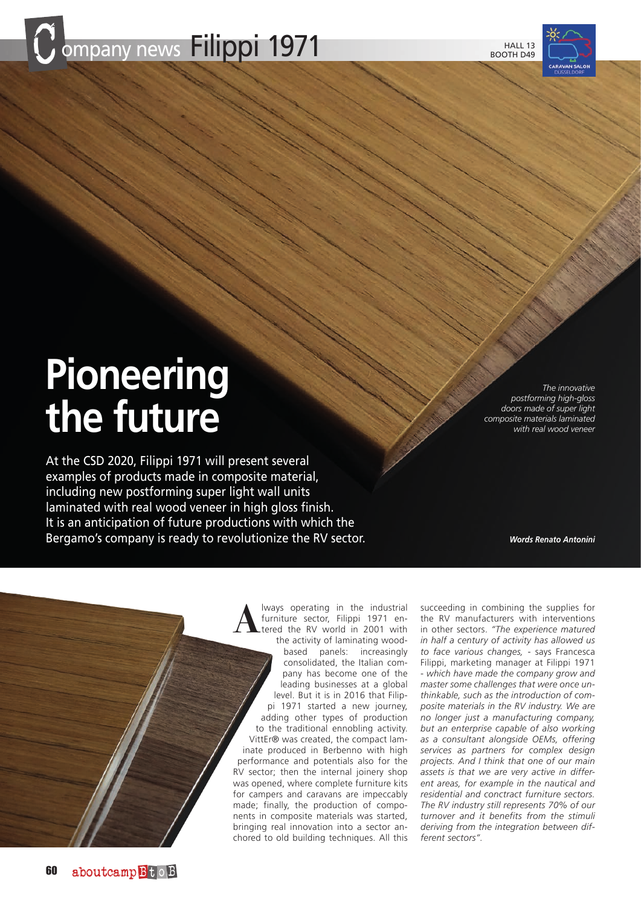





# **Pioneering the future**

At the CSD 2020, Filippi 1971 will present several examples of products made in composite material, including new postforming super light wall units laminated with real wood veneer in high gloss finish. It is an anticipation of future productions with which the Bergamo's company is ready to revolutionize the RV sector.

*The innovative postforming high-gloss doors made of super light composite materials laminated with real wood veneer*

*Words Renato Antonini*

ways operating in the industrial<br>furniture sector, Filippi 1971 en-<br>tered the RV world in 2001 with<br>the activity of laminating woodfurniture sector, Filippi 1971 enthe activity of laminating woodbased panels: increasingly consolidated, the Italian company has become one of the leading businesses at a global level. But it is in 2016 that Filippi 1971 started a new journey, adding other types of production to the traditional ennobling activity. VittEr® was created, the compact laminate produced in Berbenno with high performance and potentials also for the RV sector; then the internal joinery shop was opened, where complete furniture kits for campers and caravans are impeccably made; finally, the production of components in composite materials was started, bringing real innovation into a sector anchored to old building techniques. All this

succeeding in combining the supplies for the RV manufacturers with interventions in other sectors. *"The experience matured in half a century of activity has allowed us to face various changes,* - says Francesca Filippi, marketing manager at Filippi 1971 - *which have made the company grow and master some challenges that were once unthinkable, such as the introduction of composite materials in the RV industry. We are no longer just a manufacturing company, but an enterprise capable of also working as a consultant alongside OEMs, offering services as partners for complex design projects. And I think that one of our main assets is that we are very active in different areas, for example in the nautical and residential and conctract furniture sectors. The RV industry still represents 70% of our turnover and it benefits from the stimuli deriving from the integration between different sectors".*